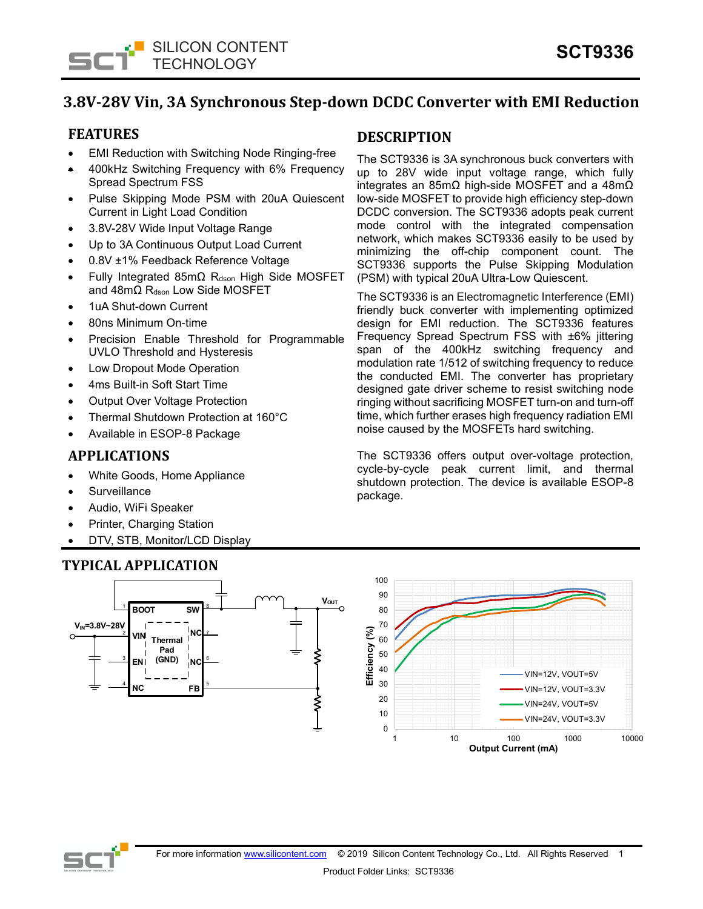

# **3.8V-28V Vin, 3A Synchronous Step-down DCDC Converter with EMI Reduction**

## **FEATURES**

- EMI Reduction with Switching Node Ringing-free
- 400kHz Switching Frequency with 6% Frequency Spread Spectrum FSS
- Pulse Skipping Mode PSM with 20uA Quiescent Current in Light Load Condition
- 3.8V-28V Wide Input Voltage Range
- Up to 3A Continuous Output Load Current
- 0.8V ±1% Feedback Reference Voltage
- Fully Integrated 85mΩ Rdson High Side MOSFET and 48mΩ R<sub>dson</sub> Low Side MOSFET
- 1uA Shut-down Current
- 80ns Minimum On-time
- Precision Enable Threshold for Programmable UVLO Threshold and Hysteresis
- Low Dropout Mode Operation
- 4ms Built-in Soft Start Time
- Output Over Voltage Protection
- Thermal Shutdown Protection at 160°C
- Available in ESOP-8 Package

## **APPLICATIONS**

- White Goods, Home Appliance
- **Surveillance**
- Audio, WiFi Speaker
- Printer, Charging Station
- DTV, STB, Monitor/LCD Display

## **TYPICAL APPLICATION**

## **DESCRIPTION**

The SCT9336 is 3A synchronous buck converters with up to 28V wide input voltage range, which fully integrates an 85mΩ high-side MOSFET and a 48mΩ low-side MOSFET to provide high efficiency step-down DCDC conversion. The SCT9336 adopts peak current mode control with the integrated compensation network, which makes SCT9336 easily to be used by minimizing the off-chip component count. The SCT9336 supports the Pulse Skipping Modulation (PSM) with typical 20uA Ultra-Low Quiescent.

The SCT9336 is an Electromagnetic Interference (EMI) friendly buck converter with implementing optimized design for EMI reduction. The SCT9336 features Frequency Spread Spectrum FSS with ±6% jittering span of the 400kHz switching frequency and modulation rate 1/512 of switching frequency to reduce the conducted EMI. The converter has proprietary designed gate driver scheme to resist switching node ringing without sacrificing MOSFET turn-on and turn-off time, which further erases high frequency radiation EMI noise caused by the MOSFETs hard switching.

The SCT9336 offers output over-voltage protection, cycle-by-cycle peak current limit, and thermal shutdown protection. The device is available ESOP-8 package.



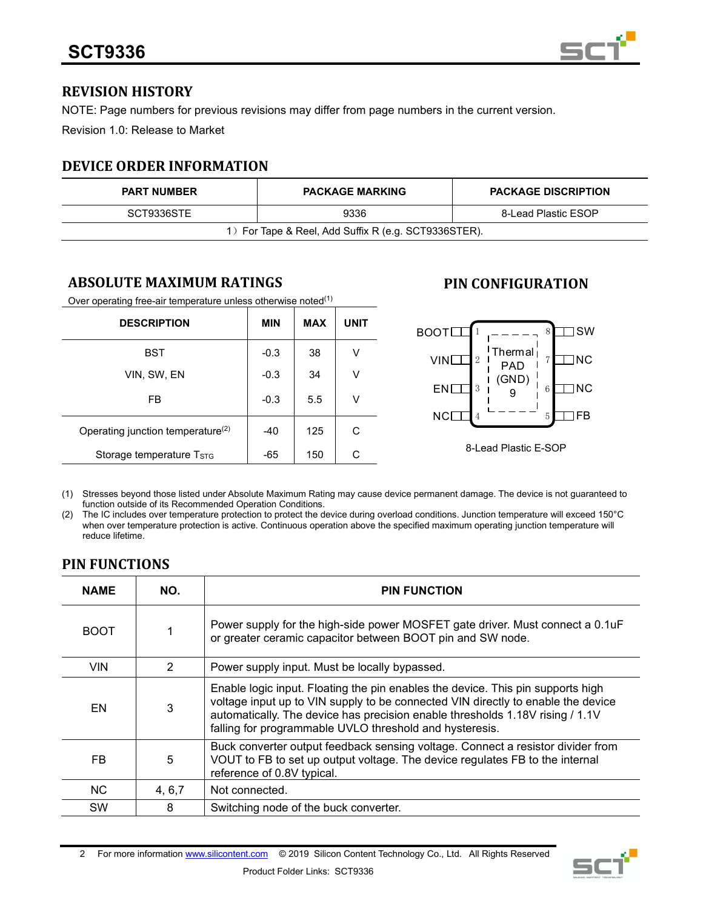

## **REVISION HISTORY**

NOTE: Page numbers for previous revisions may differ from page numbers in the current version.

Revision 1.0: Release to Market

## **DEVICE ORDER INFORMATION**

| <b>PART NUMBER</b>                                   | <b>PACKAGE MARKING</b> | <b>PACKAGE DISCRIPTION</b> |  |  |  |
|------------------------------------------------------|------------------------|----------------------------|--|--|--|
| SCT9336STE                                           | 9336                   | 8-Lead Plastic ESOP        |  |  |  |
| 1) For Tape & Reel, Add Suffix R (e.g. SCT9336STER). |                        |                            |  |  |  |

## **ABSOLUTE MAXIMUM RATINGS**

Over operating free-air temperature unless otherwise noted $(1)$ 

| <b>DESCRIPTION</b>                            | <b>MIN</b> | <b>MAX</b> | <b>UNIT</b> |
|-----------------------------------------------|------------|------------|-------------|
| <b>BST</b>                                    | $-0.3$     | 38         | ٧           |
| VIN, SW, EN                                   | $-0.3$     | 34         | ٧           |
| FB                                            | $-0.3$     | 5.5        | V           |
| Operating junction temperature <sup>(2)</sup> | $-40$      | 125        | С           |
| Storage temperature Tstg                      | $-65$      | 150        | С           |

## **PIN CONFIGURATION**



(1) Stresses beyond those listed under Absolute Maximum Rating may cause device permanent damage. The device is not guaranteed to function outside of its Recommended Operation Conditions.

(2) The IC includes over temperature protection to protect the device during overload conditions. Junction temperature will exceed 150°C when over temperature protection is active. Continuous operation above the specified maximum operating junction temperature will reduce lifetime.

## **PIN FUNCTIONS**

| <b>NAME</b> | NO.     | <b>PIN FUNCTION</b>                                                                                                                                                                                                                                                                                             |  |  |
|-------------|---------|-----------------------------------------------------------------------------------------------------------------------------------------------------------------------------------------------------------------------------------------------------------------------------------------------------------------|--|--|
| <b>BOOT</b> |         | Power supply for the high-side power MOSFET gate driver. Must connect a 0.1uF<br>or greater ceramic capacitor between BOOT pin and SW node.                                                                                                                                                                     |  |  |
| <b>VIN</b>  | 2       | Power supply input. Must be locally bypassed.                                                                                                                                                                                                                                                                   |  |  |
| EN          | 3       | Enable logic input. Floating the pin enables the device. This pin supports high<br>voltage input up to VIN supply to be connected VIN directly to enable the device<br>automatically. The device has precision enable thresholds 1.18V rising / 1.1V<br>falling for programmable UVLO threshold and hysteresis. |  |  |
| FB.         | 5       | Buck converter output feedback sensing voltage. Connect a resistor divider from<br>VOUT to FB to set up output voltage. The device regulates FB to the internal<br>reference of 0.8V typical.                                                                                                                   |  |  |
| NC.         | 4, 6, 7 | Not connected.                                                                                                                                                                                                                                                                                                  |  |  |
| <b>SW</b>   | 8       | Switching node of the buck converter.                                                                                                                                                                                                                                                                           |  |  |

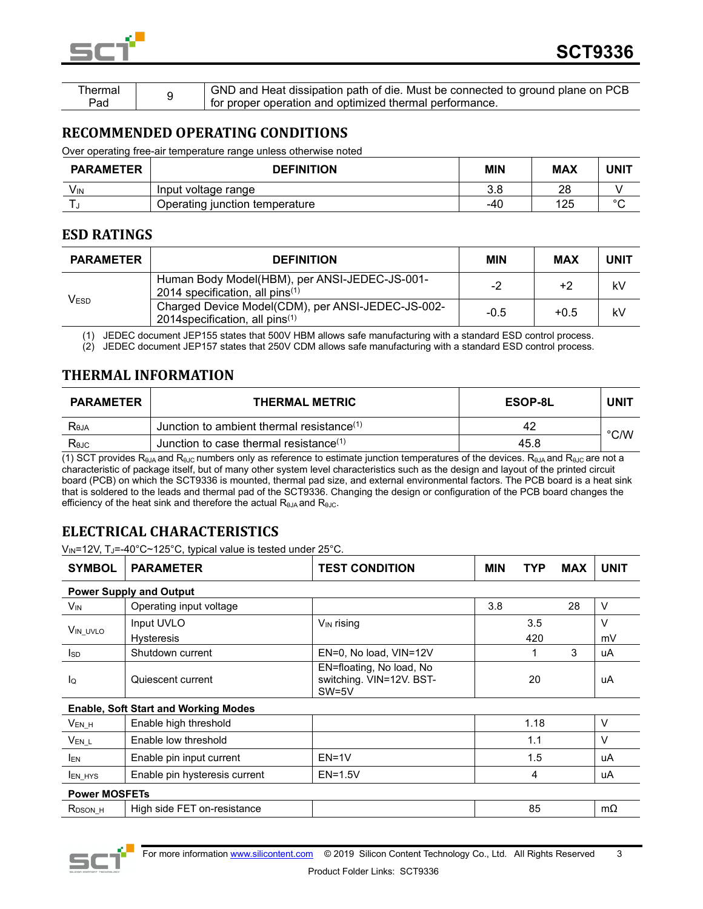

| hermal | GND and Heat dissipation path of die. Must be connected to ground plane on PCB |
|--------|--------------------------------------------------------------------------------|
| Pad    | for proper operation and optimized thermal performance.                        |

## **RECOMMENDED OPERATING CONDITIONS**

Over operating free-air temperature range unless otherwise noted

| <b>PARAMETER</b> | <b>DEFINITION</b>              | <b>MIN</b> | <b>MAX</b> | UNIT   |
|------------------|--------------------------------|------------|------------|--------|
| Vın              | Input voltage range            | 3.8        | 28         |        |
|                  | Operating junction temperature | -40        | 125        | $\sim$ |

## **ESD RATINGS**

| <b>PARAMETER</b> | <b>DEFINITION</b>                                                                       | <b>MIN</b> | <b>MAX</b> | <b>UNIT</b> |
|------------------|-----------------------------------------------------------------------------------------|------------|------------|-------------|
| Vesd             | Human Body Model(HBM), per ANSI-JEDEC-JS-001-<br>2014 specification, all pins $(1)$     | $-2$       | +2         | kV          |
|                  | Charged Device Model(CDM), per ANSI-JEDEC-JS-002-<br>2014 specification, all pins $(1)$ | $-0.5$     | $+0.5$     | kV          |

(1) JEDEC document JEP155 states that 500V HBM allows safe manufacturing with a standard ESD control process.

(2) JEDEC document JEP157 states that 250V CDM allows safe manufacturing with a standard ESD control process.

## **THERMAL INFORMATION**

| <b>PARAMETER</b> | <b>THERMAL METRIC</b>                        | <b>ESOP-8L</b> | UNI1          |
|------------------|----------------------------------------------|----------------|---------------|
| Reja             | Junction to ambient thermal resistance $(1)$ | 42             | $\degree$ C/W |
| Rejc             | Junction to case thermal resistance $(1)$    | 45.8           |               |

(1) SCT provides R<sub>θJA</sub> and R<sub>θJC</sub> numbers only as reference to estimate junction temperatures of the devices. R<sub>θJA</sub> and R<sub>θJC</sub> are not a characteristic of package itself, but of many other system level characteristics such as the design and layout of the printed circuit board (PCB) on which the SCT9336 is mounted, thermal pad size, and external environmental factors. The PCB board is a heat sink that is soldered to the leads and thermal pad of the SCT9336. Changing the design or configuration of the PCB board changes the efficiency of the heat sink and therefore the actual  $R_{\theta,IA}$  and  $R_{\theta,IC}$ .

## **ELECTRICAL CHARACTERISTICS**

V<sub>IN</sub>=12V, TJ=-40°C~125°C, typical value is tested under 25°C.

| <b>SYMBOL</b>        | <b>PARAMETER</b>                            | <b>TEST CONDITION</b>                                           | <b>MIN</b> | TYP  | <b>MAX</b> | <b>UNIT</b> |
|----------------------|---------------------------------------------|-----------------------------------------------------------------|------------|------|------------|-------------|
|                      | <b>Power Supply and Output</b>              |                                                                 |            |      |            |             |
| V <sub>IN</sub>      | Operating input voltage                     |                                                                 | 3.8        |      | 28         | $\vee$      |
| VIN UVLO             | Input UVLO                                  | V <sub>IN</sub> rising                                          |            | 3.5  |            | $\vee$      |
|                      | <b>Hysteresis</b>                           |                                                                 |            | 420  |            | mV          |
| <b>I</b> sp          | Shutdown current                            | EN=0, No load, VIN=12V                                          |            |      | 3          | uA          |
| lo                   | Quiescent current                           | EN=floating, No load, No<br>switching. VIN=12V. BST-<br>$SW=5V$ |            | 20   |            | uA          |
|                      | <b>Enable, Soft Start and Working Modes</b> |                                                                 |            |      |            |             |
| $V_{EN_H}$           | Enable high threshold                       |                                                                 |            | 1.18 |            | V           |
| $V_{EN\_L}$          | Enable low threshold                        |                                                                 |            | 1.1  |            | $\vee$      |
| <b>IEN</b>           | Enable pin input current                    | $EN=1V$                                                         |            | 1.5  |            | uA          |
| <b>LEN HYS</b>       | Enable pin hysteresis current               | $EN=1.5V$                                                       |            | 4    |            | uA          |
| <b>Power MOSFETs</b> |                                             |                                                                 |            |      |            |             |
| $R_{DSON_H}$         | High side FET on-resistance                 |                                                                 |            | 85   |            | mΩ          |

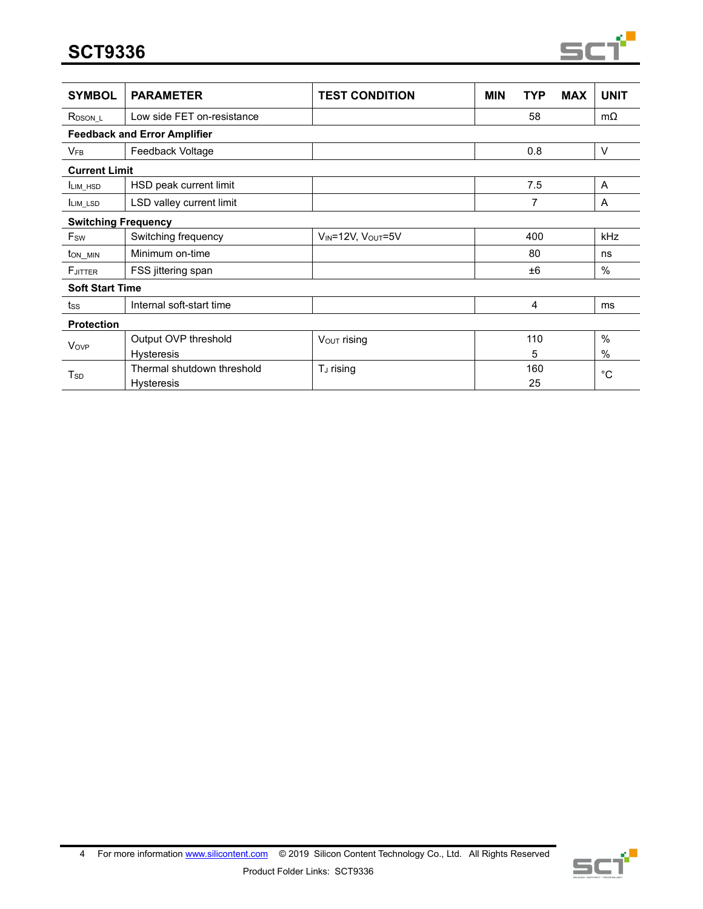**SCT9336**



| <b>SYMBOL</b>              | <b>PARAMETER</b>                    | <b>TEST CONDITION</b>   | <b>MIN</b> | TYP | <b>MAX</b> | <b>UNIT</b>   |
|----------------------------|-------------------------------------|-------------------------|------------|-----|------------|---------------|
| R <sub>DSON_L</sub>        | Low side FET on-resistance          |                         |            | 58  |            | $m\Omega$     |
|                            | <b>Feedback and Error Amplifier</b> |                         |            |     |            |               |
| <b>V<sub>FB</sub></b>      | Feedback Voltage                    |                         |            | 0.8 |            | $\vee$        |
| <b>Current Limit</b>       |                                     |                         |            |     |            |               |
| LIM HSD                    | HSD peak current limit              |                         |            | 7.5 |            | A             |
| LIM LSD                    | LSD valley current limit            |                         |            | 7   |            | A             |
| <b>Switching Frequency</b> |                                     |                         |            |     |            |               |
| Fsw                        | Switching frequency                 | VIN=12V, VOUT=5V        |            | 400 |            | kHz           |
| ton_min                    | Minimum on-time                     |                         |            | 80  |            | ns            |
| FJITTER                    | FSS jittering span                  |                         |            | ±6  |            | $\frac{0}{0}$ |
| <b>Soft Start Time</b>     |                                     |                         |            |     |            |               |
| tss                        | Internal soft-start time            |                         |            | 4   |            | ms            |
| <b>Protection</b>          |                                     |                         |            |     |            |               |
| Vove                       | Output OVP threshold                | $V_{\text{OUT}}$ rising |            | 110 |            | $\frac{0}{0}$ |
|                            | <b>Hysteresis</b>                   |                         |            | 5   |            | $\%$          |
| T <sub>sp</sub>            | Thermal shutdown threshold          | T <sub>J</sub> rising   |            | 160 |            | °C            |
|                            | <b>Hysteresis</b>                   |                         |            | 25  |            |               |

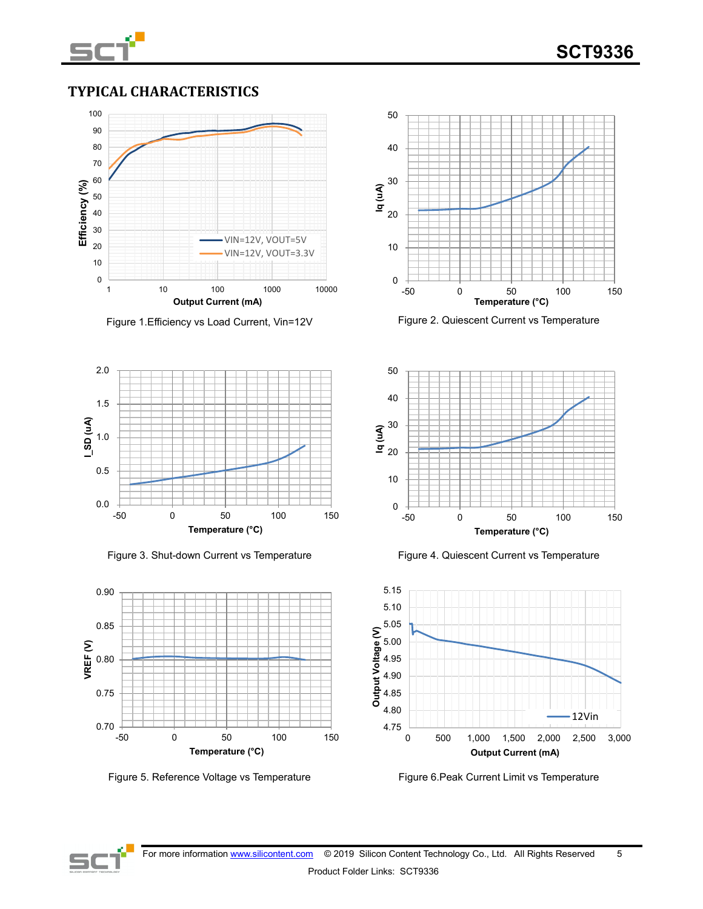

## **TYPICAL CHARACTERISTICS**



Figure 1. Efficiency vs Load Current, Vin=12V Figure 2. Quiescent Current vs Temperature















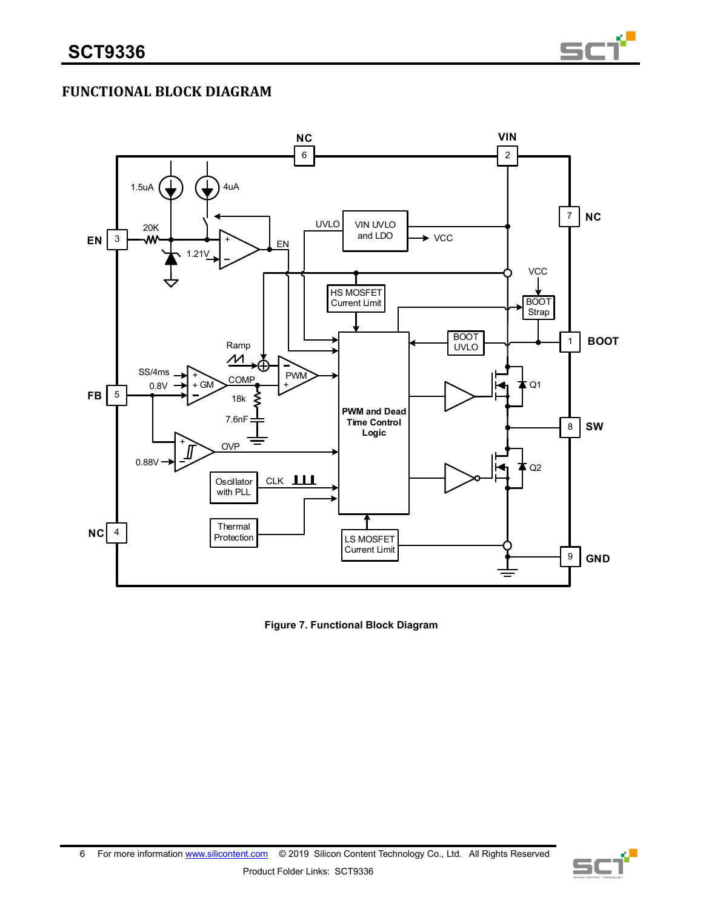

## **FUNCTIONAL BLOCK DIAGRAM**



**Figure 7. Functional Block Diagram**

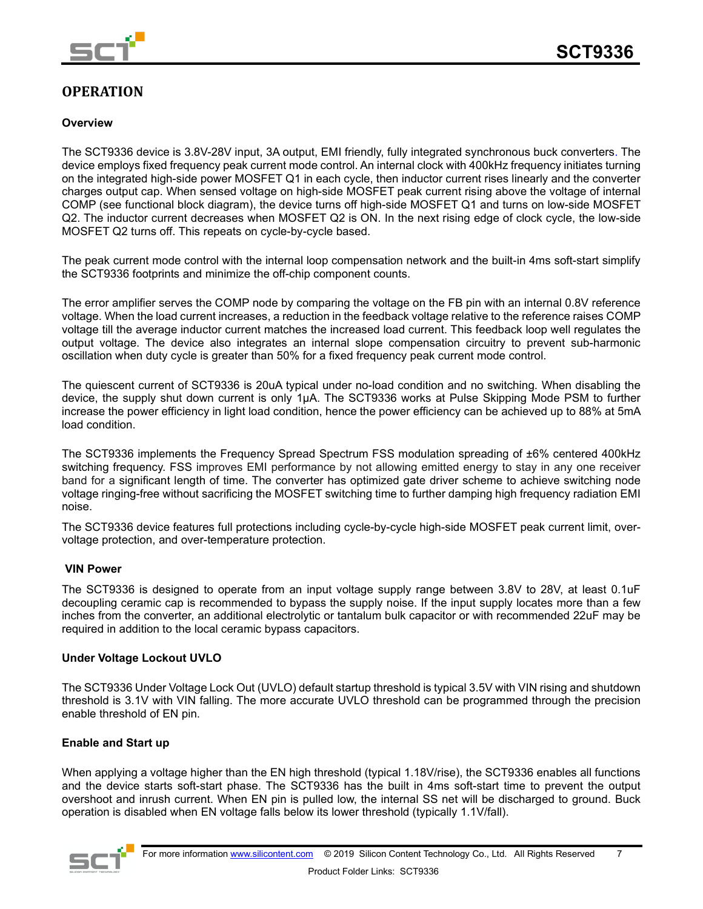

## **OPERATION**

### **Overview**

The SCT9336 device is 3.8V-28V input, 3A output, EMI friendly, fully integrated synchronous buck converters. The device employs fixed frequency peak current mode control. An internal clock with 400kHz frequency initiates turning on the integrated high-side power MOSFET Q1 in each cycle, then inductor current rises linearly and the converter charges output cap. When sensed voltage on high-side MOSFET peak current rising above the voltage of internal COMP (see functional block diagram), the device turns off high-side MOSFET Q1 and turns on low-side MOSFET Q2. The inductor current decreases when MOSFET Q2 is ON. In the next rising edge of clock cycle, the low-side MOSFET Q2 turns off. This repeats on cycle-by-cycle based.

The peak current mode control with the internal loop compensation network and the built-in 4ms soft-start simplify the SCT9336 footprints and minimize the off-chip component counts.

The error amplifier serves the COMP node by comparing the voltage on the FB pin with an internal 0.8V reference voltage. When the load current increases, a reduction in the feedback voltage relative to the reference raises COMP voltage till the average inductor current matches the increased load current. This feedback loop well regulates the output voltage. The device also integrates an internal slope compensation circuitry to prevent sub-harmonic oscillation when duty cycle is greater than 50% for a fixed frequency peak current mode control.

The quiescent current of SCT9336 is 20uA typical under no-load condition and no switching. When disabling the device, the supply shut down current is only 1μA. The SCT9336 works at Pulse Skipping Mode PSM to further increase the power efficiency in light load condition, hence the power efficiency can be achieved up to 88% at 5mA load condition.

The SCT9336 implements the Frequency Spread Spectrum FSS modulation spreading of ±6% centered 400kHz switching frequency. FSS improves EMI performance by not allowing emitted energy to stay in any one receiver band for a significant length of time. The converter has optimized gate driver scheme to achieve switching node voltage ringing-free without sacrificing the MOSFET switching time to further damping high frequency radiation EMI noise.

The SCT9336 device features full protections including cycle-by-cycle high-side MOSFET peak current limit, overvoltage protection, and over-temperature protection.

### **VIN Power**

The SCT9336 is designed to operate from an input voltage supply range between 3.8V to 28V, at least 0.1uF decoupling ceramic cap is recommended to bypass the supply noise. If the input supply locates more than a few inches from the converter, an additional electrolytic or tantalum bulk capacitor or with recommended 22uF may be required in addition to the local ceramic bypass capacitors.

#### **Under Voltage Lockout UVLO**

The SCT9336 Under Voltage Lock Out (UVLO) default startup threshold is typical 3.5V with VIN rising and shutdown threshold is 3.1V with VIN falling. The more accurate UVLO threshold can be programmed through the precision enable threshold of EN pin.

### **Enable and Start up**

When applying a voltage higher than the EN high threshold (typical 1.18V/rise), the SCT9336 enables all functions and the device starts soft-start phase. The SCT9336 has the built in 4ms soft-start time to prevent the output overshoot and inrush current. When EN pin is pulled low, the internal SS net will be discharged to ground. Buck operation is disabled when EN voltage falls below its lower threshold (typically 1.1V/fall).

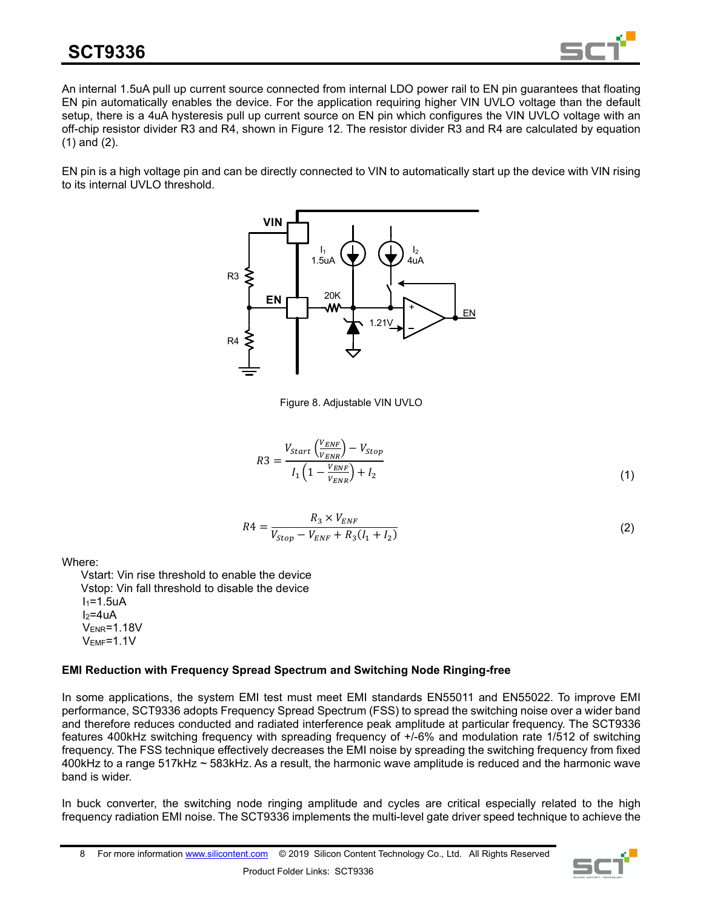

An internal 1.5uA pull up current source connected from internal LDO power rail to EN pin guarantees that floating EN pin automatically enables the device. For the application requiring higher VIN UVLO voltage than the default setup, there is a 4uA hysteresis pull up current source on EN pin which configures the VIN UVLO voltage with an off-chip resistor divider R3 and R4, shown in Figure 12. The resistor divider R3 and R4 are calculated by equation (1) and (2).

EN pin is a high voltage pin and can be directly connected to VIN to automatically start up the device with VIN rising to its internal UVLO threshold.



Figure 8. Adjustable VIN UVLO

$$
R3 = \frac{V_{start}\left(\frac{V_{ENF}}{V_{ENR}}\right) - V_{Stop}}{I_1 \left(1 - \frac{V_{ENF}}{V_{ENR}}\right) + I_2}
$$
\n(1)

$$
R4 = \frac{R_3 \times V_{ENF}}{V_{Stop} - V_{ENF} + R_3(I_1 + I_2)}
$$
(2)

Where:

 Vstart: Vin rise threshold to enable the device Vstop: Vin fall threshold to disable the device  $I_1 = 1.5uA$  $I_2=4$ uA VENR=1.18V VEMF=1.1V

### **EMI Reduction with Frequency Spread Spectrum and Switching Node Ringing-free**

In some applications, the system EMI test must meet EMI standards EN55011 and EN55022. To improve EMI performance, SCT9336 adopts Frequency Spread Spectrum (FSS) to spread the switching noise over a wider band and therefore reduces conducted and radiated interference peak amplitude at particular frequency. The SCT9336 features 400kHz switching frequency with spreading frequency of +/-6% and modulation rate 1/512 of switching frequency. The FSS technique effectively decreases the EMI noise by spreading the switching frequency from fixed 400kHz to a range 517kHz ~ 583kHz. As a result, the harmonic wave amplitude is reduced and the harmonic wave band is wider.

In buck converter, the switching node ringing amplitude and cycles are critical especially related to the high frequency radiation EMI noise. The SCT9336 implements the multi-level gate driver speed technique to achieve the

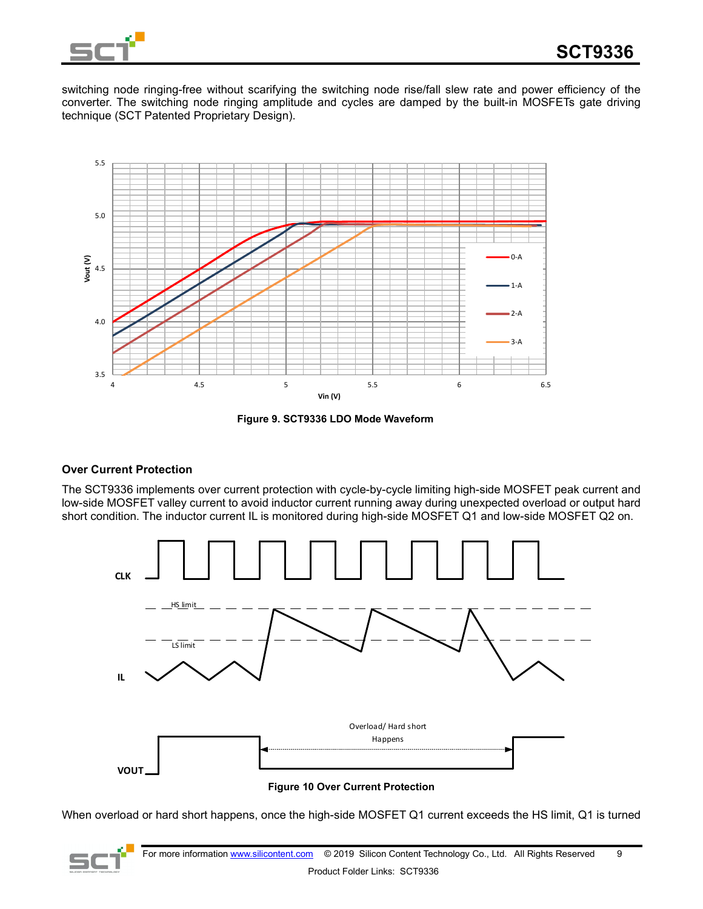

switching node ringing-free without scarifying the switching node rise/fall slew rate and power efficiency of the converter. The switching node ringing amplitude and cycles are damped by the built-in MOSFETs gate driving technique (SCT Patented Proprietary Design).



**Figure 9. SCT9336 LDO Mode Waveform**

### **Over Current Protection**

The SCT9336 implements over current protection with cycle-by-cycle limiting high-side MOSFET peak current and low-side MOSFET valley current to avoid inductor current running away during unexpected overload or output hard short condition. The inductor current IL is monitored during high-side MOSFET Q1 and low-side MOSFET Q2 on.



#### **Figure 10 Over Current Protection**

When overload or hard short happens, once the high-side MOSFET Q1 current exceeds the HS limit, Q1 is turned

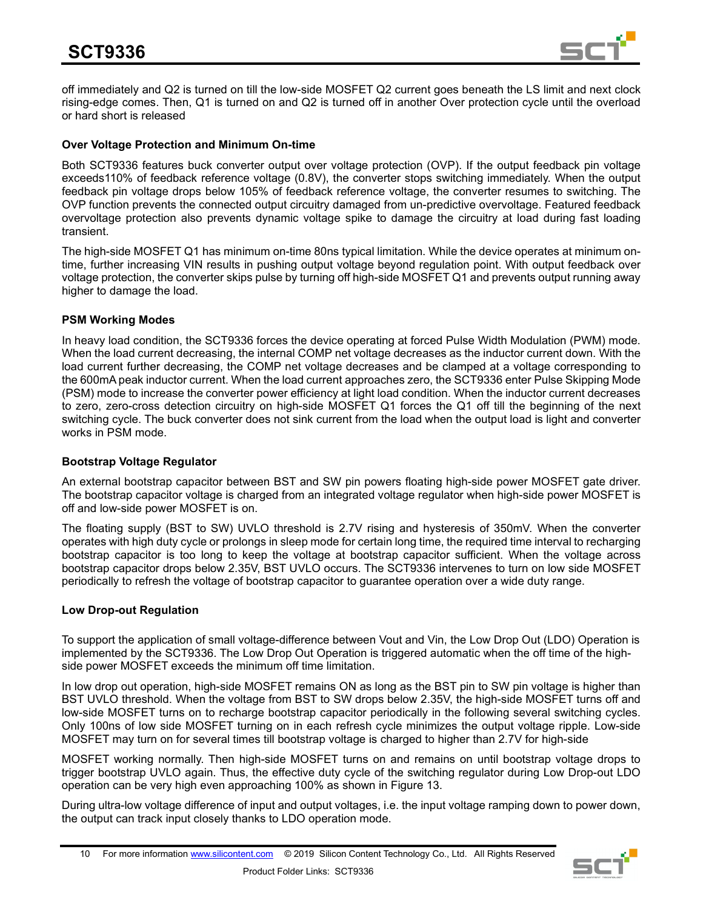

off immediately and Q2 is turned on till the low-side MOSFET Q2 current goes beneath the LS limit and next clock rising-edge comes. Then, Q1 is turned on and Q2 is turned off in another Over protection cycle until the overload or hard short is released

### **Over Voltage Protection and Minimum On-time**

Both SCT9336 features buck converter output over voltage protection (OVP). If the output feedback pin voltage exceeds110% of feedback reference voltage (0.8V), the converter stops switching immediately. When the output feedback pin voltage drops below 105% of feedback reference voltage, the converter resumes to switching. The OVP function prevents the connected output circuitry damaged from un-predictive overvoltage. Featured feedback overvoltage protection also prevents dynamic voltage spike to damage the circuitry at load during fast loading transient.

The high-side MOSFET Q1 has minimum on-time 80ns typical limitation. While the device operates at minimum ontime, further increasing VIN results in pushing output voltage beyond regulation point. With output feedback over voltage protection, the converter skips pulse by turning off high-side MOSFET Q1 and prevents output running away higher to damage the load.

### **PSM Working Modes**

In heavy load condition, the SCT9336 forces the device operating at forced Pulse Width Modulation (PWM) mode. When the load current decreasing, the internal COMP net voltage decreases as the inductor current down. With the load current further decreasing, the COMP net voltage decreases and be clamped at a voltage corresponding to the 600mA peak inductor current. When the load current approaches zero, the SCT9336 enter Pulse Skipping Mode (PSM) mode to increase the converter power efficiency at light load condition. When the inductor current decreases to zero, zero-cross detection circuitry on high-side MOSFET Q1 forces the Q1 off till the beginning of the next switching cycle. The buck converter does not sink current from the load when the output load is light and converter works in PSM mode.

### **Bootstrap Voltage Regulator**

An external bootstrap capacitor between BST and SW pin powers floating high-side power MOSFET gate driver. The bootstrap capacitor voltage is charged from an integrated voltage regulator when high-side power MOSFET is off and low-side power MOSFET is on.

The floating supply (BST to SW) UVLO threshold is 2.7V rising and hysteresis of 350mV. When the converter operates with high duty cycle or prolongs in sleep mode for certain long time, the required time interval to recharging bootstrap capacitor is too long to keep the voltage at bootstrap capacitor sufficient. When the voltage across bootstrap capacitor drops below 2.35V, BST UVLO occurs. The SCT9336 intervenes to turn on low side MOSFET periodically to refresh the voltage of bootstrap capacitor to guarantee operation over a wide duty range.

### **Low Drop-out Regulation**

To support the application of small voltage-difference between Vout and Vin, the Low Drop Out (LDO) Operation is implemented by the SCT9336. The Low Drop Out Operation is triggered automatic when the off time of the highside power MOSFET exceeds the minimum off time limitation.

In low drop out operation, high-side MOSFET remains ON as long as the BST pin to SW pin voltage is higher than BST UVLO threshold. When the voltage from BST to SW drops below 2.35V, the high-side MOSFET turns off and low-side MOSFET turns on to recharge bootstrap capacitor periodically in the following several switching cycles. Only 100ns of low side MOSFET turning on in each refresh cycle minimizes the output voltage ripple. Low-side MOSFET may turn on for several times till bootstrap voltage is charged to higher than 2.7V for high-side

MOSFET working normally. Then high-side MOSFET turns on and remains on until bootstrap voltage drops to trigger bootstrap UVLO again. Thus, the effective duty cycle of the switching regulator during Low Drop-out LDO operation can be very high even approaching 100% as shown in Figure 13.

During ultra-low voltage difference of input and output voltages, i.e. the input voltage ramping down to power down, the output can track input closely thanks to LDO operation mode.

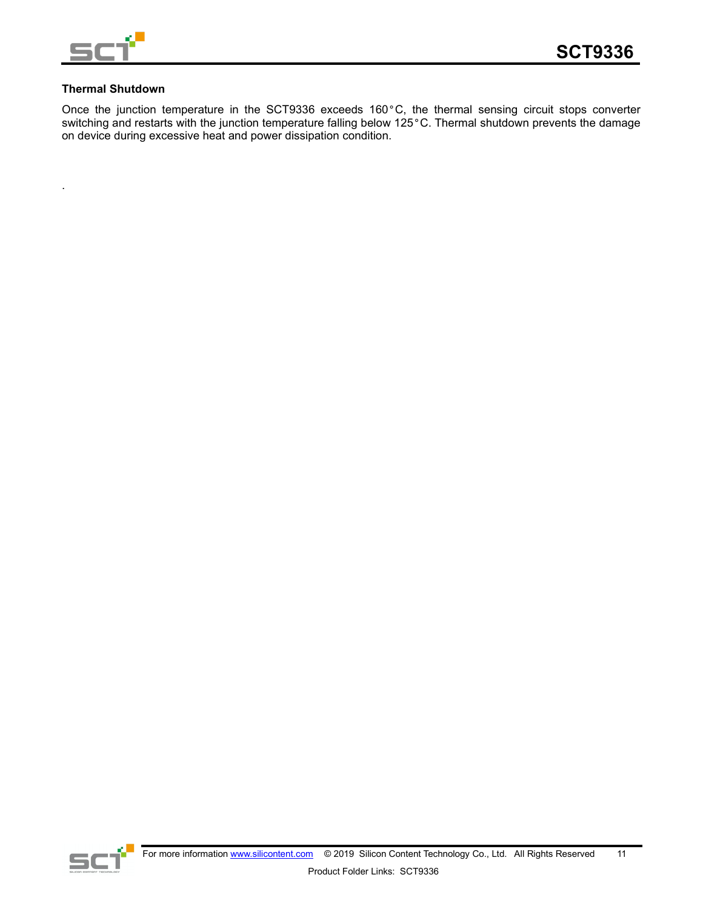

### **Thermal Shutdown**

.

Once the junction temperature in the SCT9336 exceeds 160°C, the thermal sensing circuit stops converter switching and restarts with the junction temperature falling below 125°C. Thermal shutdown prevents the damage on device during excessive heat and power dissipation condition.

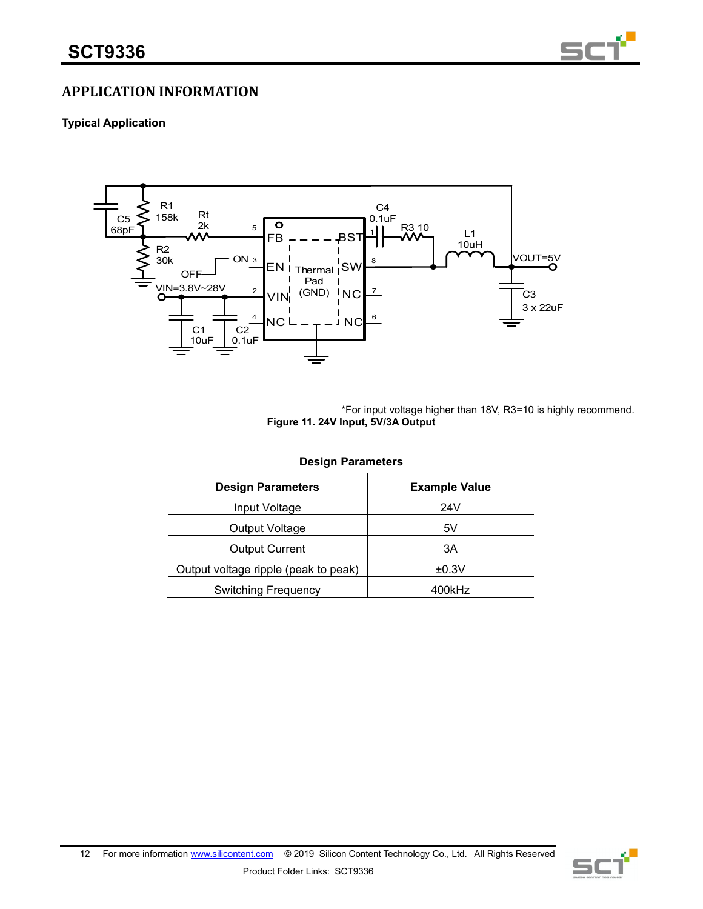

## **APPLICATION INFORMATION**

### **Typical Application**



\*For input voltage higher than 18V, R3=10 is highly recommend. **Figure 11. 24V Input, 5V/3A Output**

| <b>Design Parameters</b>                         |        |  |  |  |  |
|--------------------------------------------------|--------|--|--|--|--|
| <b>Design Parameters</b><br><b>Example Value</b> |        |  |  |  |  |
| Input Voltage                                    | 24V    |  |  |  |  |
| Output Voltage                                   | 5V     |  |  |  |  |
| <b>Output Current</b>                            | 3A     |  |  |  |  |
| Output voltage ripple (peak to peak)             | ±0.3V  |  |  |  |  |
| <b>Switching Frequency</b>                       | 400kHz |  |  |  |  |
|                                                  |        |  |  |  |  |

12 For more information [www.silicontent.com](http://www.silicontent.com/) © 2019 Silicon Content Technology Co., Ltd. All Rights Reserved Product Folder Links: SCT9336

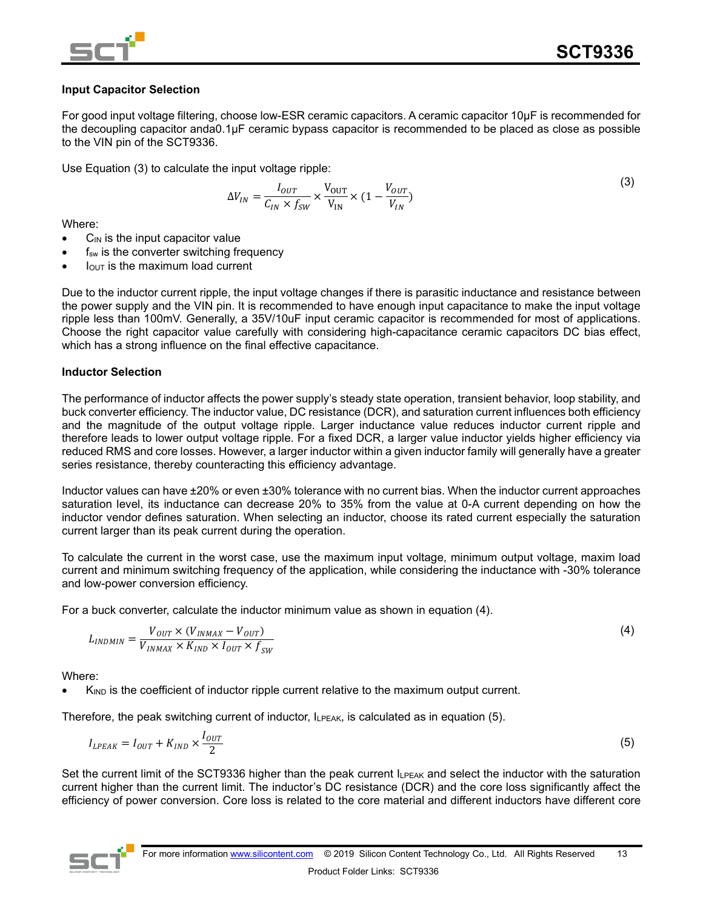

### **Input Capacitor Selection**

For good input voltage filtering, choose low-ESR ceramic capacitors. A ceramic capacitor 10μF is recommended for the decoupling capacitor anda0.1μF ceramic bypass capacitor is recommended to be placed as close as possible to the VIN pin of the SCT9336.

Use Equation (3) to calculate the input voltage ripple:

$$
\Delta V_{IN} = \frac{I_{OUT}}{C_{IN} \times f_{SW}} \times \frac{V_{OUT}}{V_{IN}} \times (1 - \frac{V_{OUT}}{V_{IN}})
$$
(3)

Where:

- $C_{\text{IN}}$  is the input capacitor value
- f<sub>sw</sub> is the converter switching frequency
- $I<sub>OUT</sub>$  is the maximum load current

Due to the inductor current ripple, the input voltage changes if there is parasitic inductance and resistance between the power supply and the VIN pin. It is recommended to have enough input capacitance to make the input voltage ripple less than 100mV. Generally, a 35V/10uF input ceramic capacitor is recommended for most of applications. Choose the right capacitor value carefully with considering high-capacitance ceramic capacitors DC bias effect, which has a strong influence on the final effective capacitance.

### **Inductor Selection**

The performance of inductor affects the power supply's steady state operation, transient behavior, loop stability, and buck converter efficiency. The inductor value, DC resistance (DCR), and saturation current influences both efficiency and the magnitude of the output voltage ripple. Larger inductance value reduces inductor current ripple and therefore leads to lower output voltage ripple. For a fixed DCR, a larger value inductor yields higher efficiency via reduced RMS and core losses. However, a larger inductor within a given inductor family will generally have a greater series resistance, thereby counteracting this efficiency advantage.

Inductor values can have ±20% or even ±30% tolerance with no current bias. When the inductor current approaches saturation level, its inductance can decrease 20% to 35% from the value at 0-A current depending on how the inductor vendor defines saturation. When selecting an inductor, choose its rated current especially the saturation current larger than its peak current during the operation.

To calculate the current in the worst case, use the maximum input voltage, minimum output voltage, maxim load current and minimum switching frequency of the application, while considering the inductance with -30% tolerance and low-power conversion efficiency.

For a buck converter, calculate the inductor minimum value as shown in equation (4).

$$
L_{INDMIN} = \frac{V_{OUT} \times (V_{INMAX} - V_{OUT})}{V_{INMAX} \times K_{IND} \times I_{OUT} \times f_{SW}}
$$
(4)

Where:

 $K_{\text{IND}}$  is the coefficient of inductor ripple current relative to the maximum output current.

Therefore, the peak switching current of inductor, ILPEAK, is calculated as in equation (5).

$$
I_{LPEAK} = I_{OUT} + K_{IND} \times \frac{I_{OUT}}{2}
$$
\n
$$
\tag{5}
$$

Set the current limit of the SCT9336 higher than the peak current  $I_{LPEAK}$  and select the inductor with the saturation current higher than the current limit. The inductor's DC resistance (DCR) and the core loss significantly affect the efficiency of power conversion. Core loss is related to the core material and different inductors have different core

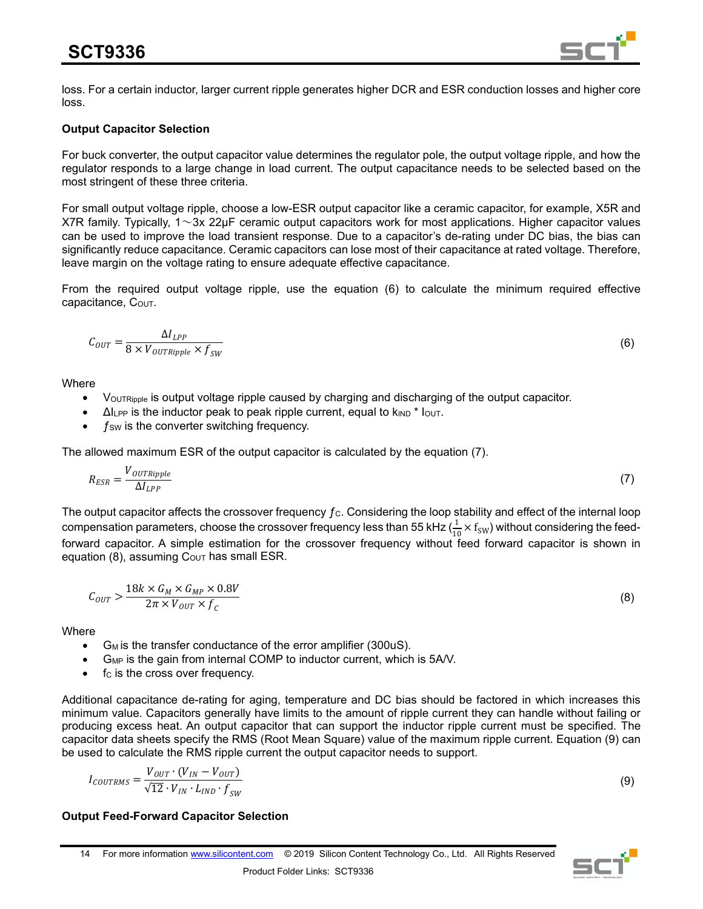

loss. For a certain inductor, larger current ripple generates higher DCR and ESR conduction losses and higher core loss.

### **Output Capacitor Selection**

For buck converter, the output capacitor value determines the regulator pole, the output voltage ripple, and how the regulator responds to a large change in load current. The output capacitance needs to be selected based on the most stringent of these three criteria.

For small output voltage ripple, choose a low-ESR output capacitor like a ceramic capacitor, for example, X5R and X7R family. Typically,  $1 \sim 3x$  22µF ceramic output capacitors work for most applications. Higher capacitor values can be used to improve the load transient response. Due to a capacitor's de-rating under DC bias, the bias can significantly reduce capacitance. Ceramic capacitors can lose most of their capacitance at rated voltage. Therefore, leave margin on the voltage rating to ensure adequate effective capacitance.

From the required output voltage ripple, use the equation (6) to calculate the minimum required effective capacitance, COUT.

$$
C_{OUT} = \frac{\Delta I_{LPP}}{8 \times V_{OUTRipple} \times f_{SW}}\tag{6}
$$

**Where** 

- VouTRipple is output voltage ripple caused by charging and discharging of the output capacitor.
- $\Delta l_{\text{LPP}}$  is the inductor peak to peak ripple current, equal to  $k_{\text{IND}}$  \*  $l_{\text{OUT}}$ .
- $f_{SW}$  is the converter switching frequency.

The allowed maximum ESR of the output capacitor is calculated by the equation (7).

$$
R_{ESR} = \frac{V_{OUTRipple}}{\Delta I_{LPP}}\tag{7}
$$

The output capacitor affects the crossover frequency  $f_c$ . Considering the loop stability and effect of the internal loop compensation parameters, choose the crossover frequency less than 55 kHz ( $\frac{1}{10} \times f_{SW}$ ) without considering the feedforward capacitor. A simple estimation for the crossover frequency without feed forward capacitor is shown in equation (8), assuming  $C_{\text{OUT}}$  has small ESR.

$$
C_{OUT} > \frac{18k \times G_M \times G_{MP} \times 0.8V}{2\pi \times V_{OUT} \times f_c}
$$
\n(8)

**Where** 

- G<sub>M</sub> is the transfer conductance of the error amplifier (300uS).
- G<sub>MP</sub> is the gain from internal COMP to inductor current, which is 5A/V.
- f<sub>c</sub> is the cross over frequency.

Additional capacitance de-rating for aging, temperature and DC bias should be factored in which increases this minimum value. Capacitors generally have limits to the amount of ripple current they can handle without failing or producing excess heat. An output capacitor that can support the inductor ripple current must be specified. The capacitor data sheets specify the RMS (Root Mean Square) value of the maximum ripple current. Equation (9) can be used to calculate the RMS ripple current the output capacitor needs to support.

$$
I_{COUTRMS} = \frac{V_{OUT} \cdot (V_{IN} - V_{OUT})}{\sqrt{12} \cdot V_{IN} \cdot L_{IND} \cdot f_{SW}}
$$

#### **Output Feed-Forward Capacitor Selection**



(9)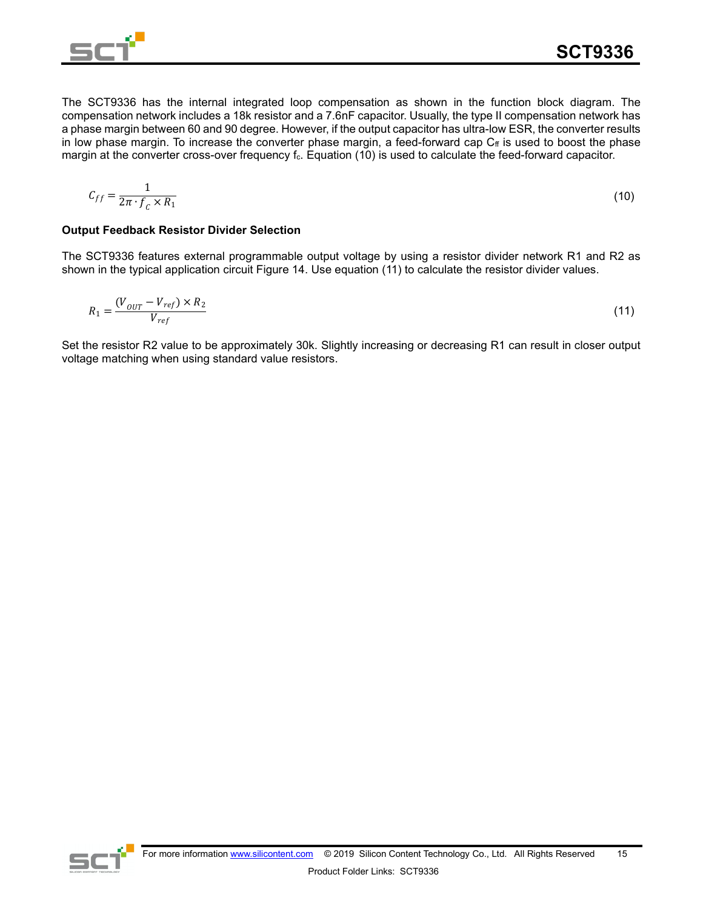

The SCT9336 has the internal integrated loop compensation as shown in the function block diagram. The compensation network includes a 18k resistor and a 7.6nF capacitor. Usually, the type II compensation network has a phase margin between 60 and 90 degree. However, if the output capacitor has ultra-low ESR, the converter results in low phase margin. To increase the converter phase margin, a feed-forward cap  $C_f$  is used to boost the phase margin at the converter cross-over frequency f<sub>c</sub>. Equation (10) is used to calculate the feed-forward capacitor.

$$
C_{ff} = \frac{1}{2\pi \cdot f_c \times R_1} \tag{10}
$$

### **Output Feedback Resistor Divider Selection**

The SCT9336 features external programmable output voltage by using a resistor divider network R1 and R2 as shown in the typical application circuit Figure 14. Use equation (11) to calculate the resistor divider values.

$$
R_1 = \frac{(V_{OUT} - V_{ref}) \times R_2}{V_{ref}} \tag{11}
$$

Set the resistor R2 value to be approximately 30k. Slightly increasing or decreasing R1 can result in closer output voltage matching when using standard value resistors.

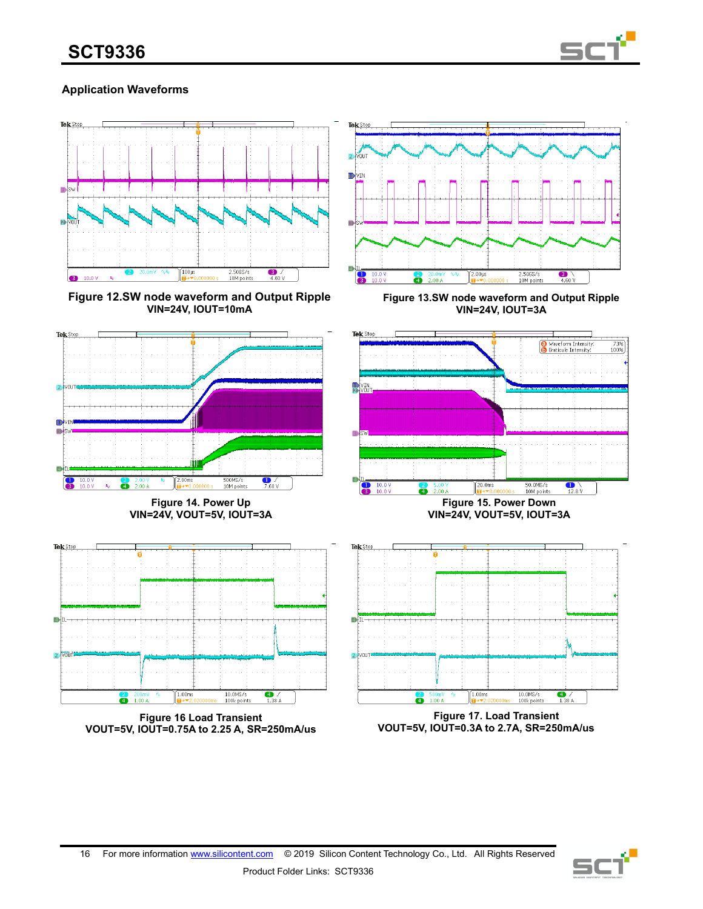

## **Application Waveforms**



**Figure 12.SW node waveform and Output Ripple VIN=24V, IOUT=10mA**



**Figure 13.SW node waveform and Output Ripple VIN=24V, IOUT=3A**

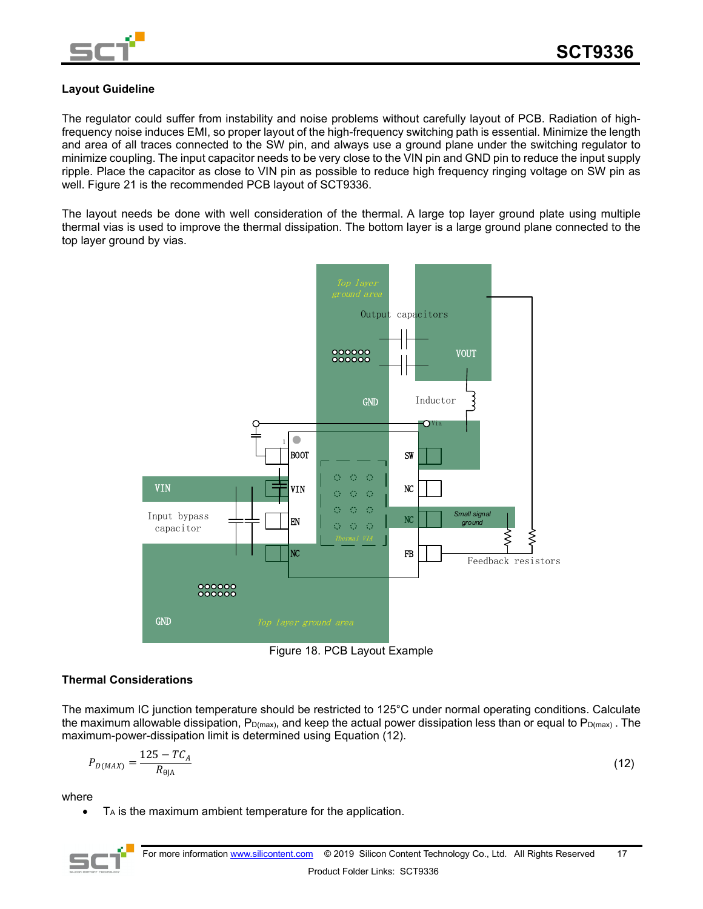

### **Layout Guideline**

The regulator could suffer from instability and noise problems without carefully layout of PCB. Radiation of highfrequency noise induces EMI, so proper layout of the high-frequency switching path is essential. Minimize the length and area of all traces connected to the SW pin, and always use a ground plane under the switching regulator to minimize coupling. The input capacitor needs to be very close to the VIN pin and GND pin to reduce the input supply ripple. Place the capacitor as close to VIN pin as possible to reduce high frequency ringing voltage on SW pin as well. Figure 21 is the recommended PCB layout of SCT9336.

The layout needs be done with well consideration of the thermal. A large top layer ground plate using multiple thermal vias is used to improve the thermal dissipation. The bottom layer is a large ground plane connected to the top layer ground by vias.



Figure 18. PCB Layout Example

### **Thermal Considerations**

The maximum IC junction temperature should be restricted to 125°C under normal operating conditions. Calculate the maximum allowable dissipation,  $P_{D(max)}$ , and keep the actual power dissipation less than or equal to  $P_{D(max)}$ . The maximum-power-dissipation limit is determined using Equation (12).

$$
P_{D(MAX)} = \frac{125 - TC_A}{R_{\theta JA}}
$$
 (12)

where

- T<sub>A</sub> is the maximum ambient temperature for the application.
-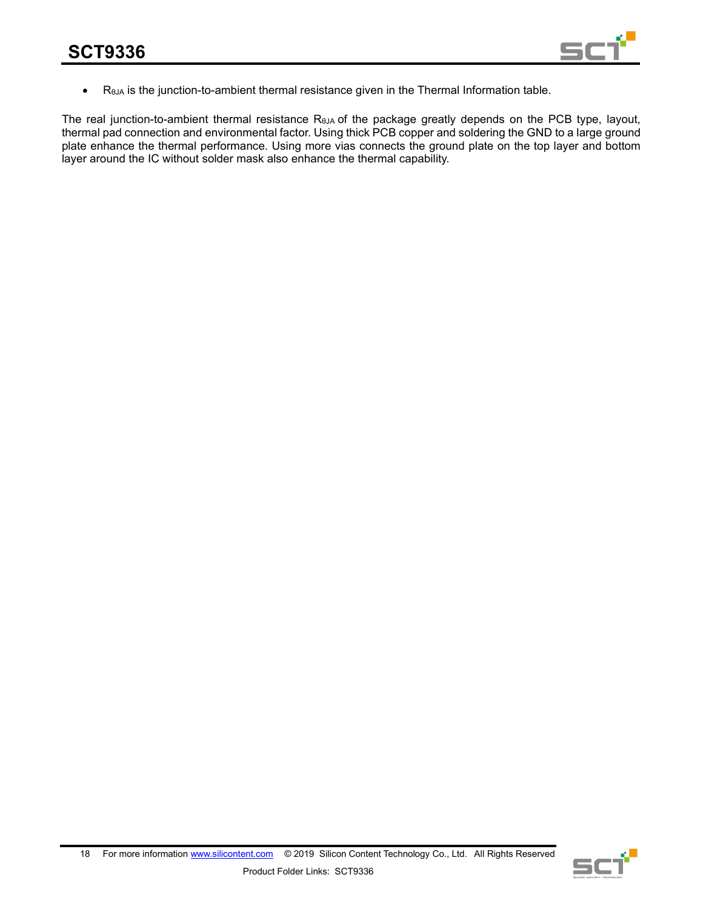![](_page_17_Picture_1.jpeg)

• RθJA is the junction-to-ambient thermal resistance given in the Thermal Information table.

The real junction-to-ambient thermal resistance R<sub>θJA</sub> of the package greatly depends on the PCB type, layout, thermal pad connection and environmental factor. Using thick PCB copper and soldering the GND to a large ground plate enhance the thermal performance. Using more vias connects the ground plate on the top layer and bottom layer around the IC without solder mask also enhance the thermal capability.

![](_page_17_Picture_5.jpeg)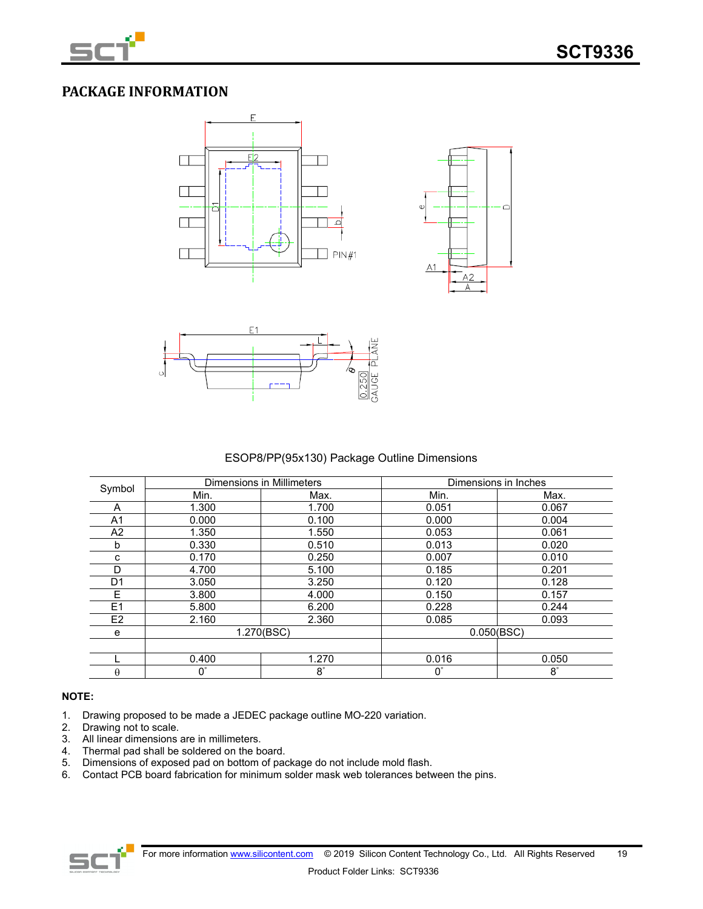![](_page_18_Picture_0.jpeg)

## **PACKAGE INFORMATION**

![](_page_18_Figure_3.jpeg)

![](_page_18_Figure_4.jpeg)

![](_page_18_Figure_5.jpeg)

ESOP8/PP(95x130) Package Outline Dimensions

|                |             | <b>Dimensions in Millimeters</b> | Dimensions in Inches |           |
|----------------|-------------|----------------------------------|----------------------|-----------|
| Symbol         | Min.        | Max.                             | Min.                 | Max.      |
| A              | 1.300       | 1.700                            | 0.051                | 0.067     |
| A <sub>1</sub> | 0.000       | 0.100                            | 0.000                | 0.004     |
| A <sub>2</sub> | 1.350       | 1.550                            | 0.053                | 0.061     |
| b              | 0.330       | 0.510                            | 0.013                | 0.020     |
| с              | 0.170       | 0.250                            | 0.007                | 0.010     |
| D              | 4.700       | 5.100                            | 0.185                | 0.201     |
| D1             | 3.050       | 3.250                            | 0.120                | 0.128     |
| E              | 3.800       | 4.000                            | 0.150                | 0.157     |
| E1             | 5.800       | 6.200                            | 0.228                | 0.244     |
| E <sub>2</sub> | 2.160       | 2.360                            | 0.085                | 0.093     |
| е              | 1.270(BSC)  |                                  | 0.050(BSC)           |           |
|                |             |                                  |                      |           |
|                | 0.400       | 1.270                            | 0.016                | 0.050     |
| $\theta$       | $0^{\circ}$ | $8^\circ$                        | $0^{\circ}$          | $8^\circ$ |

### **NOTE:**

- 1. Drawing proposed to be made a JEDEC package outline MO-220 variation.<br>2. Drawing not to scale.
- Drawing not to scale.
- 3. All linear dimensions are in millimeters.
- 4. Thermal pad shall be soldered on the board.
- 5. Dimensions of exposed pad on bottom of package do not include mold flash.
- 6. Contact PCB board fabrication for minimum solder mask web tolerances between the pins.

![](_page_18_Figure_15.jpeg)